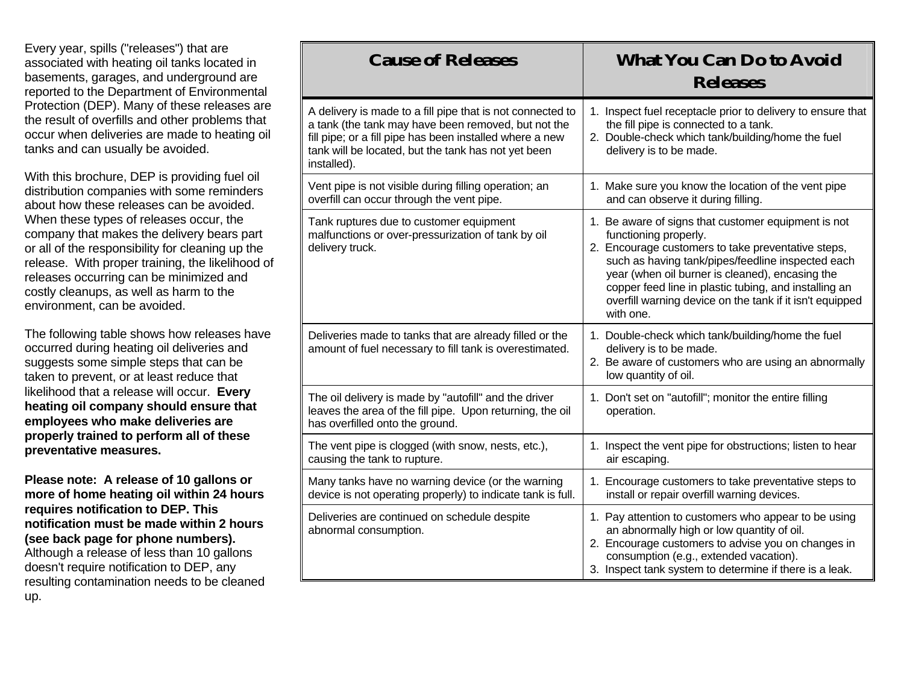Every year, spills ("releases") that are associated with heating oil tanks located in basements, garages, and underground are reported to the Department of Environmental Protection (DEP). Many of these releases are the result of overfills and other problems that occur when deliveries are made to heating oil tanks and can usually be avoided.

With this brochure, DEP is providing fuel oil distribution companies with some reminders about how these releases can be avoided. When these types of releases occur, the company that makes the delivery bears part or all of the responsibility for cleaning up the release. With proper training, the likelihood of releases occurring can be minimized and costly cleanups, as well as harm to the environment, can be avoided.

The following table shows how releases have occurred during heating oil deliveries and suggests some simple steps that can be taken to prevent, or at least reduce that likelihood that a release will occur. **Every heating oil company should ensure that employees who make deliveries are properly trained to perform all of these preventative measures.**

**Please note: A release of 10 gallons or more of home heating oil within 24 hours requires notification to DEP. This notification must be made within 2 hours (see back page for phone numbers).**  Although a release of less than 10 gallons doesn't require notification to DEP, any resulting contamination needs to be cleaned up.

| <b>Cause of Releases</b>                                                                                                                                                                                                                            | <b>What You Can Do to Avoid</b><br><b>Releases</b>                                                                                                                                                                                                                                                                                                                           |
|-----------------------------------------------------------------------------------------------------------------------------------------------------------------------------------------------------------------------------------------------------|------------------------------------------------------------------------------------------------------------------------------------------------------------------------------------------------------------------------------------------------------------------------------------------------------------------------------------------------------------------------------|
| A delivery is made to a fill pipe that is not connected to<br>a tank (the tank may have been removed, but not the<br>fill pipe; or a fill pipe has been installed where a new<br>tank will be located, but the tank has not yet been<br>installed). | 1. Inspect fuel receptacle prior to delivery to ensure that<br>the fill pipe is connected to a tank.<br>2. Double-check which tank/building/home the fuel<br>delivery is to be made.                                                                                                                                                                                         |
| Vent pipe is not visible during filling operation; an<br>overfill can occur through the vent pipe.                                                                                                                                                  | 1. Make sure you know the location of the vent pipe<br>and can observe it during filling.                                                                                                                                                                                                                                                                                    |
| Tank ruptures due to customer equipment<br>malfunctions or over-pressurization of tank by oil<br>delivery truck.                                                                                                                                    | 1. Be aware of signs that customer equipment is not<br>functioning properly.<br>2. Encourage customers to take preventative steps,<br>such as having tank/pipes/feedline inspected each<br>year (when oil burner is cleaned), encasing the<br>copper feed line in plastic tubing, and installing an<br>overfill warning device on the tank if it isn't equipped<br>with one. |
| Deliveries made to tanks that are already filled or the<br>amount of fuel necessary to fill tank is overestimated.                                                                                                                                  | 1. Double-check which tank/building/home the fuel<br>delivery is to be made.<br>2. Be aware of customers who are using an abnormally<br>low quantity of oil.                                                                                                                                                                                                                 |
| The oil delivery is made by "autofill" and the driver<br>leaves the area of the fill pipe. Upon returning, the oil<br>has overfilled onto the ground.                                                                                               | 1. Don't set on "autofill"; monitor the entire filling<br>operation.                                                                                                                                                                                                                                                                                                         |
| The vent pipe is clogged (with snow, nests, etc.),<br>causing the tank to rupture.                                                                                                                                                                  | 1. Inspect the vent pipe for obstructions; listen to hear<br>air escaping.                                                                                                                                                                                                                                                                                                   |
| Many tanks have no warning device (or the warning<br>device is not operating properly) to indicate tank is full.                                                                                                                                    | 1. Encourage customers to take preventative steps to<br>install or repair overfill warning devices.                                                                                                                                                                                                                                                                          |
| Deliveries are continued on schedule despite<br>abnormal consumption.                                                                                                                                                                               | 1. Pay attention to customers who appear to be using<br>an abnormally high or low quantity of oil.<br>2. Encourage customers to advise you on changes in<br>consumption (e.g., extended vacation).<br>3. Inspect tank system to determine if there is a leak.                                                                                                                |